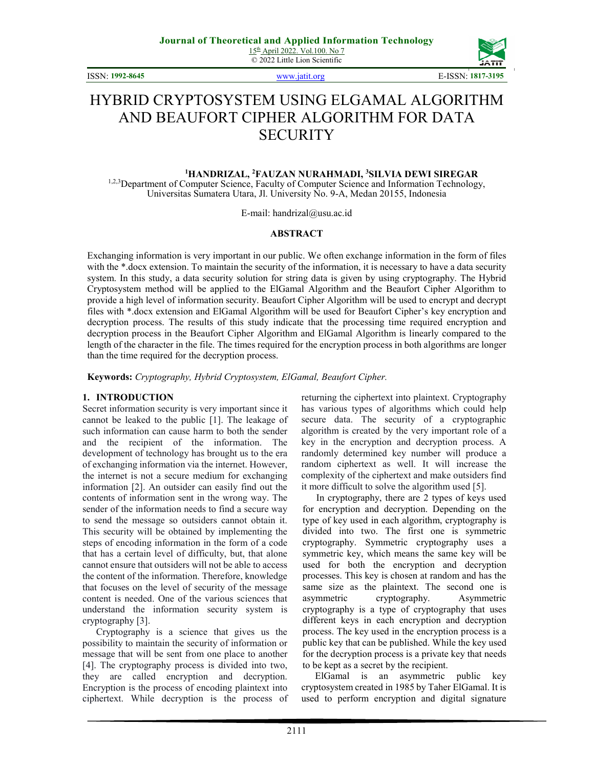© 2022 Little Lion Scientific

ISSN: **1992-8645** www.jatit.org E-ISSN: **1817-3195**



# HYBRID CRYPTOSYSTEM USING ELGAMAL ALGORITHM AND BEAUFORT CIPHER ALGORITHM FOR DATA **SECURITY**

# **<sup>1</sup>HANDRIZAL, <sup>2</sup>FAUZAN NURAHMADI, <sup>3</sup>SILVIA DEWI SIREGAR**

<sup>1,2,3</sup>Department of Computer Science, Faculty of Computer Science and Information Technology, Universitas Sumatera Utara, Jl. University No. 9-A, Medan 20155, Indonesia

E-mail: handrizal@usu.ac.id

#### **ABSTRACT**

Exchanging information is very important in our public. We often exchange information in the form of files with the \*.docx extension. To maintain the security of the information, it is necessary to have a data security system. In this study, a data security solution for string data is given by using cryptography. The Hybrid Cryptosystem method will be applied to the ElGamal Algorithm and the Beaufort Cipher Algorithm to provide a high level of information security. Beaufort Cipher Algorithm will be used to encrypt and decrypt files with \*.docx extension and ElGamal Algorithm will be used for Beaufort Cipher's key encryption and decryption process. The results of this study indicate that the processing time required encryption and decryption process in the Beaufort Cipher Algorithm and ElGamal Algorithm is linearly compared to the length of the character in the file. The times required for the encryption process in both algorithms are longer than the time required for the decryption process.

**Keywords:** *Cryptography, Hybrid Cryptosystem, ElGamal, Beaufort Cipher.* 

#### **1. INTRODUCTION**

Secret information security is very important since it cannot be leaked to the public [1]. The leakage of such information can cause harm to both the sender and the recipient of the information. The development of technology has brought us to the era of exchanging information via the internet. However, the internet is not a secure medium for exchanging information [2]. An outsider can easily find out the contents of information sent in the wrong way. The sender of the information needs to find a secure way to send the message so outsiders cannot obtain it. This security will be obtained by implementing the steps of encoding information in the form of a code that has a certain level of difficulty, but, that alone cannot ensure that outsiders will not be able to access the content of the information. Therefore, knowledge that focuses on the level of security of the message content is needed. One of the various sciences that understand the information security system is cryptography [3].

Cryptography is a science that gives us the possibility to maintain the security of information or message that will be sent from one place to another [4]. The cryptography process is divided into two, they are called encryption and decryption. Encryption is the process of encoding plaintext into ciphertext. While decryption is the process of returning the ciphertext into plaintext. Cryptography has various types of algorithms which could help secure data. The security of a cryptographic algorithm is created by the very important role of a key in the encryption and decryption process. A randomly determined key number will produce a random ciphertext as well. It will increase the complexity of the ciphertext and make outsiders find it more difficult to solve the algorithm used [5].

In cryptography, there are 2 types of keys used for encryption and decryption. Depending on the type of key used in each algorithm, cryptography is divided into two. The first one is symmetric cryptography. Symmetric cryptography uses a symmetric key, which means the same key will be used for both the encryption and decryption processes. This key is chosen at random and has the same size as the plaintext. The second one is asymmetric cryptography. Asymmetric cryptography is a type of cryptography that uses different keys in each encryption and decryption process. The key used in the encryption process is a public key that can be published. While the key used for the decryption process is a private key that needs to be kept as a secret by the recipient.

ElGamal is an asymmetric public key cryptosystem created in 1985 by Taher ElGamal. It is used to perform encryption and digital signature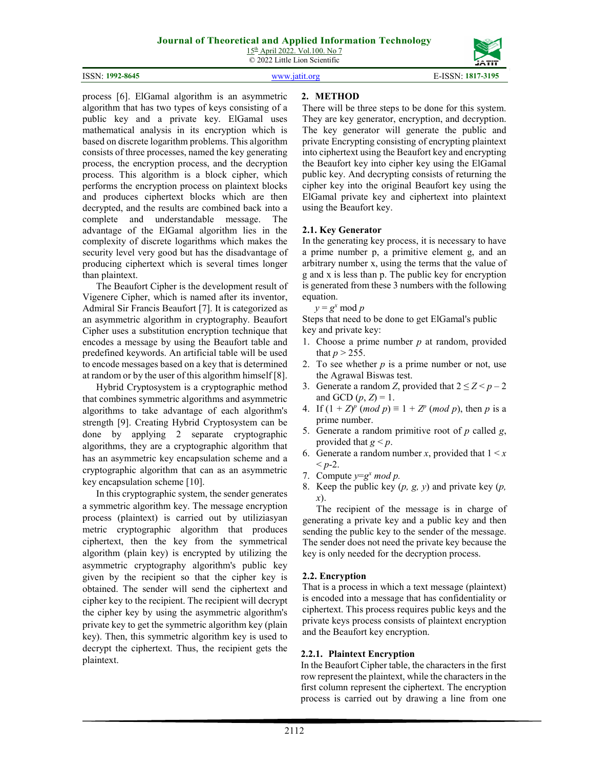15th April 2022. Vol.100. No 7 © 2022 Little Lion Scientific



process [6]. ElGamal algorithm is an asymmetric algorithm that has two types of keys consisting of a public key and a private key. ElGamal uses mathematical analysis in its encryption which is based on discrete logarithm problems. This algorithm consists of three processes, named the key generating process, the encryption process, and the decryption process. This algorithm is a block cipher, which performs the encryption process on plaintext blocks and produces ciphertext blocks which are then decrypted, and the results are combined back into a complete and understandable message. The advantage of the ElGamal algorithm lies in the complexity of discrete logarithms which makes the security level very good but has the disadvantage of producing ciphertext which is several times longer than plaintext.

The Beaufort Cipher is the development result of Vigenere Cipher, which is named after its inventor, Admiral Sir Francis Beaufort [7]. It is categorized as an asymmetric algorithm in cryptography. Beaufort Cipher uses a substitution encryption technique that encodes a message by using the Beaufort table and predefined keywords. An artificial table will be used to encode messages based on a key that is determined at random or by the user of this algorithm himself [8].

Hybrid Cryptosystem is a cryptographic method that combines symmetric algorithms and asymmetric algorithms to take advantage of each algorithm's strength [9]. Creating Hybrid Cryptosystem can be done by applying 2 separate cryptographic algorithms, they are a cryptographic algorithm that has an asymmetric key encapsulation scheme and a cryptographic algorithm that can as an asymmetric key encapsulation scheme [10].

In this cryptographic system, the sender generates a symmetric algorithm key. The message encryption process (plaintext) is carried out by utiliziasyan metric cryptographic algorithm that produces ciphertext, then the key from the symmetrical algorithm (plain key) is encrypted by utilizing the asymmetric cryptography algorithm's public key given by the recipient so that the cipher key is obtained. The sender will send the ciphertext and cipher key to the recipient. The recipient will decrypt the cipher key by using the asymmetric algorithm's private key to get the symmetric algorithm key (plain key). Then, this symmetric algorithm key is used to decrypt the ciphertext. Thus, the recipient gets the plaintext.

## **2. METHOD**

There will be three steps to be done for this system. They are key generator, encryption, and decryption. The key generator will generate the public and private Encrypting consisting of encrypting plaintext into ciphertext using the Beaufort key and encrypting the Beaufort key into cipher key using the ElGamal public key. And decrypting consists of returning the cipher key into the original Beaufort key using the ElGamal private key and ciphertext into plaintext using the Beaufort key.

## **2.1. Key Generator**

In the generating key process, it is necessary to have a prime number p, a primitive element g, and an arbitrary number x, using the terms that the value of g and x is less than p. The public key for encryption is generated from these 3 numbers with the following equation.

 $y = g^x \mod p$ 

Steps that need to be done to get ElGamal's public key and private key:

- 1. Choose a prime number *p* at random, provided that  $p > 255$ .
- 2. To see whether *p* is a prime number or not, use the Agrawal Biswas test.
- 3. Generate a random *Z*, provided that  $2 \le Z \le p 2$ and GCD  $(p, Z) = 1$ .
- 4. If  $(1 + Z)^p$  (*mod p*)  $\equiv 1 + Z^p$  (*mod p*), then *p* is a prime number.
- 5. Generate a random primitive root of *p* called *g*, provided that  $g < p$ .
- 6. Generate a random number *x*, provided that  $1 \leq x$  $$
- 7. Compute  $y=g^x \mod p$ .
- 8. Keep the public key (*p, g, y*) and private key (*p, x*).

The recipient of the message is in charge of generating a private key and a public key and then sending the public key to the sender of the message. The sender does not need the private key because the key is only needed for the decryption process.

#### **2.2. Encryption**

That is a process in which a text message (plaintext) is encoded into a message that has confidentiality or ciphertext. This process requires public keys and the private keys process consists of plaintext encryption and the Beaufort key encryption.

#### **2.2.1. Plaintext Encryption**

In the Beaufort Cipher table, the characters in the first row represent the plaintext, while the characters in the first column represent the ciphertext. The encryption process is carried out by drawing a line from one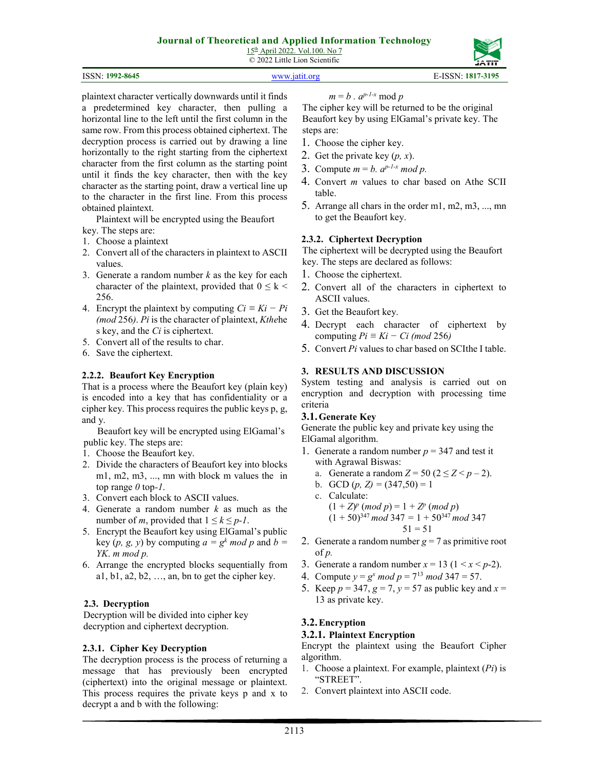15th April 2022. Vol.100. No 7 © 2022 Little Lion Scientific

#### ISSN: **1992-8645** www.jatit.org E-ISSN: **1817-3195**

plaintext character vertically downwards until it finds a predetermined key character, then pulling a horizontal line to the left until the first column in the same row. From this process obtained ciphertext. The decryption process is carried out by drawing a line horizontally to the right starting from the ciphertext character from the first column as the starting point until it finds the key character, then with the key character as the starting point, draw a vertical line up to the character in the first line. From this process obtained plaintext.

Plaintext will be encrypted using the Beaufort key. The steps are:

- 1. Choose a plaintext
- 2. Convert all of the characters in plaintext to ASCII values.
- 3. Generate a random number *k* as the key for each character of the plaintext, provided that  $0 \leq k <$ 256.
- 4. Encrypt the plaintext by computing  $Ci \equiv Ki Pi$ *(mod* 256*)*. *Pi* is the character of plaintext, *Kthe*he s key, and the *Ci* is ciphertext.
- 5. Convert all of the results to char.
- 6. Save the ciphertext.

#### **2.2.2. Beaufort Key Encryption**

That is a process where the Beaufort key (plain key) is encoded into a key that has confidentiality or a cipher key. This process requires the public keys p, g, and y.

Beaufort key will be encrypted using ElGamal's public key. The steps are:

- 1. Choose the Beaufort key.
- 2. Divide the characters of Beaufort key into blocks m1, m2, m3, ..., mn with block m values the in top range *0* top*-1*.
- 3. Convert each block to ASCII values.
- 4. Generate a random number *k* as much as the number of *m*, provided that  $1 \leq k \leq p-1$ .
- 5. Encrypt the Beaufort key using ElGamal's public key  $(p, g, y)$  by computing  $a = g^k \mod p$  and  $b =$ *YK*. *m mod p.*
- 6. Arrange the encrypted blocks sequentially from a1, b1, a2, b2, …, an, bn to get the cipher key.

#### **2.3. Decryption**

Decryption will be divided into cipher key decryption and ciphertext decryption.

#### **2.3.1. Cipher Key Decryption**

The decryption process is the process of returning a message that has previously been encrypted (ciphertext) into the original message or plaintext. This process requires the private keys p and x to decrypt a and b with the following:

$$
m = b \cdot a^{p-l-x} \bmod p
$$

The cipher key will be returned to be the original Beaufort key by using ElGamal's private key. The steps are:

- 1. Choose the cipher key.
- 2. Get the private key (*p, x*).
- 3. Compute  $m = b$ .  $a^{p-1-x} \mod p$ .
- 4. Convert *m* values to char based on Athe SCII table.
- 5. Arrange all chars in the order m1, m2, m3, ..., mn to get the Beaufort key.

#### **2.3.2. Ciphertext Decryption**

The ciphertext will be decrypted using the Beaufort key. The steps are declared as follows:

- 1. Choose the ciphertext.
- 2. Convert all of the characters in ciphertext to ASCII values.
- 3. Get the Beaufort key.
- 4. Decrypt each character of ciphertext by computing  $Pi \equiv Ki - Ci \ (mod \ 256)$
- 5. Convert *Pi* values to char based on SCIthe I table.

#### **3. RESULTS AND DISCUSSION**

System testing and analysis is carried out on encryption and decryption with processing time criteria

#### **3.1.Generate Key**

Generate the public key and private key using the ElGamal algorithm.

- 1. Generate a random number  $p = 347$  and test it with Agrawal Biswas:
	- a. Generate a random  $Z = 50$  ( $2 \le Z < p 2$ ).
	- b. GCD  $(p, Z) = (347,50) = 1$

c. Calculate:  
\n
$$
(1 + Z)^p \pmod{p} = 1 + Z^p \pmod{p}
$$
  
\n $(1 + 50)^{347} \pmod{347} = 1 + 50^{347} \pmod{347}$   
\n $51 = 51$ 

- 2. Generate a random number  $g = 7$  as primitive root of *p.*
- 3. Generate a random number  $x = 13$  ( $1 \le x \le p-2$ ).
- 4. Compute  $y = g^x \mod p = 7^{13} \mod 347 = 57$ .
- 5. Keep  $p = 347$ ,  $q = 7$ ,  $v = 57$  as public key and  $x =$ 13 as private key.

#### **3.2.Encryption**

#### **3.2.1. Plaintext Encryption**

Encrypt the plaintext using the Beaufort Cipher algorithm.

- 1. Choose a plaintext. For example, plaintext (*Pi*) is "STREET".
- 2. Convert plaintext into ASCII code.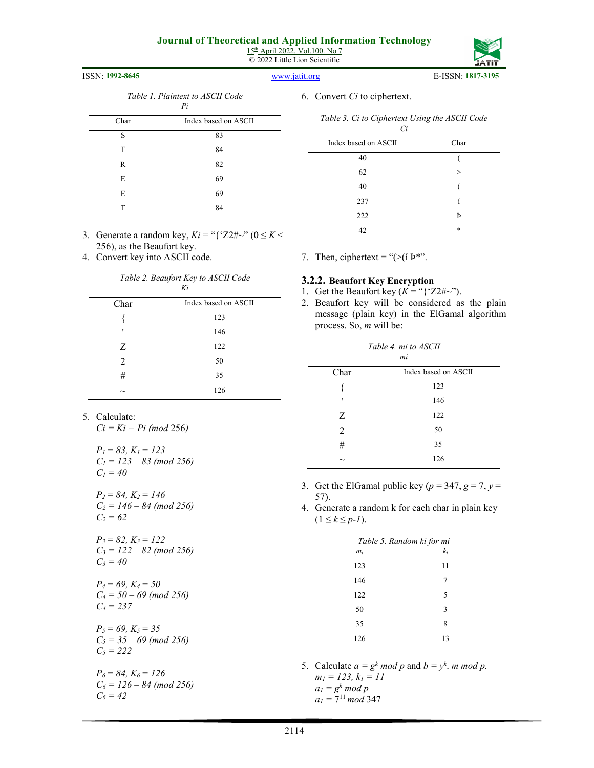15th April 2022. Vol.100. No 7 © 2022 Little Lion Scientific

# ISSN: **1992-8645** www.jatit.org E-ISSN: **1817-3195**

| Table 1. Plaintext to ASCII Code |                      |  |  |  |  |  |
|----------------------------------|----------------------|--|--|--|--|--|
|                                  | Pi                   |  |  |  |  |  |
| Char                             | Index based on ASCII |  |  |  |  |  |
| S                                | 83                   |  |  |  |  |  |
| T                                | 84                   |  |  |  |  |  |
| R                                | 82                   |  |  |  |  |  |
| E                                | 69                   |  |  |  |  |  |
| E                                | 69                   |  |  |  |  |  |
| т                                | 84                   |  |  |  |  |  |

3. Generate a random key,  $Ki = "{'Z2#}~" (0 \leq K <$ 256), as the Beaufort key.

4. Convert key into ASCII code.

|                               | Table 2. Beaufort Key to ASCII Code |  |  |  |  |  |  |
|-------------------------------|-------------------------------------|--|--|--|--|--|--|
| Ki                            |                                     |  |  |  |  |  |  |
| Char                          | Index based on ASCII                |  |  |  |  |  |  |
|                               | 123                                 |  |  |  |  |  |  |
| ٠                             | 146                                 |  |  |  |  |  |  |
| Z                             | 122                                 |  |  |  |  |  |  |
| $\mathfrak{D}_{\mathfrak{p}}$ | 50                                  |  |  |  |  |  |  |
| #                             | 35                                  |  |  |  |  |  |  |
|                               | 126                                 |  |  |  |  |  |  |

- 5. Calculate:
	- *Ci = Ki − Pi (mod* 256*)*

*P1 = 83, K1 = 123 C1 = 123 – 83 (mod 256) C1 = 40* 

*P2 = 84, K2 = 146 C2 = 146 – 84 (mod 256) C2 = 62* 

*P3 = 82, K3 = 122 C3 = 122 – 82 (mod 256) C3 = 40* 

*P4 = 69, K4 = 50 C4 = 50 – 69 (mod 256) C4 = 237* 

*P5 = 69, K5 = 35 C5 = 35 – 69 (mod 256) C5 = 222* 

*P6 = 84, K6 = 126 C6 = 126 – 84 (mod 256) C6 = 42* 

6. Convert *Ci* to ciphertext.

| Сi                   |          |
|----------------------|----------|
| Index based on ASCII | Char     |
| 40                   |          |
| 62                   | $\rm{>}$ |
| 40                   |          |
| 237                  | í        |
| 222                  | Þ        |
| 42                   | $\ast$   |
|                      |          |

*Table 3. Ci to Ciphertext Using the ASCII Code* 

#### **3.2.2. Beaufort Key Encryption**

- 1. Get the Beaufort key  $(K = \sqrt{\frac{22\pi}{n}})$ .
- 2. Beaufort key will be considered as the plain message (plain key) in the ElGamal algorithm process. So, *m* will be:

| Table 4. mi to ASCII      |                      |  |  |  |  |  |
|---------------------------|----------------------|--|--|--|--|--|
|                           | mi                   |  |  |  |  |  |
| Char                      | Index based on ASCII |  |  |  |  |  |
|                           | 123                  |  |  |  |  |  |
| ٠                         | 146                  |  |  |  |  |  |
| Z                         | 122                  |  |  |  |  |  |
| $\overline{2}$            | 50                   |  |  |  |  |  |
| #                         | 35                   |  |  |  |  |  |
| $\widetilde{\phantom{m}}$ | 126                  |  |  |  |  |  |

- 3. Get the ElGamal public key ( $p = 347$ ,  $g = 7$ ,  $y =$ 57).
- 4. Generate a random k for each char in plain key  $(1 \leq k \leq p-l).$

| Table 5. Random ki for mi |       |  |  |  |  |  |
|---------------------------|-------|--|--|--|--|--|
| $m_i$                     | $k_i$ |  |  |  |  |  |
| 123                       | 11    |  |  |  |  |  |
| 146                       | 7     |  |  |  |  |  |
| 122                       | 5     |  |  |  |  |  |
| 50                        | 3     |  |  |  |  |  |
| 35                        | 8     |  |  |  |  |  |
| 126                       | 13    |  |  |  |  |  |

5. Calculate  $a = g^k \mod p$  and  $b = y^k \mod p$ . *m1 = 123, k1 = 11*   $a_1 = g^k \mod p$  $a_1 = 7^{11} \mod 347$ 

7. Then, ciphertext = "(>(í Þ\*".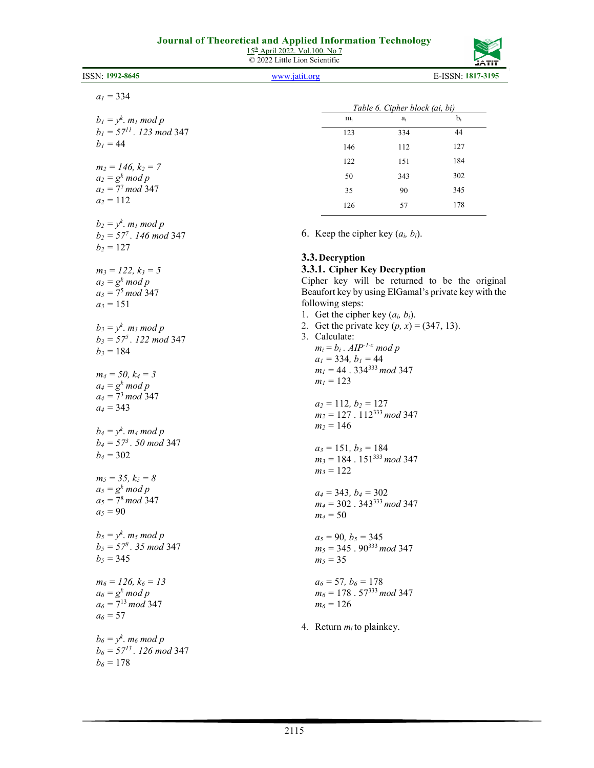15<sup>th</sup> April 2022. Vol.100. No 7

| ISSN: 1992-8645                                 | www.jatit.org |                                                          |                                               | 运用<br>E-ISSN: 1817-3195                              |
|-------------------------------------------------|---------------|----------------------------------------------------------|-----------------------------------------------|------------------------------------------------------|
|                                                 |               |                                                          |                                               |                                                      |
| $a_1 = 334$                                     |               |                                                          | Table 6. Cipher block (ai, bi)                |                                                      |
| $b_1 = y^k$ . m <sub>1</sub> mod p              |               | $m_i$                                                    | a <sub>i</sub>                                | $b_i$                                                |
| $b_1 = 57^{11}$ . 123 mod 347                   |               | 123                                                      | 334                                           | 44                                                   |
| $b_1 = 44$                                      |               |                                                          |                                               |                                                      |
|                                                 |               | 146                                                      | 112                                           | 127                                                  |
| $m_2 = 146, k_2 = 7$                            |               | 122                                                      | 151                                           | 184                                                  |
| $a_2 = g^k \mod p$                              |               | 50                                                       | 343                                           | 302                                                  |
| $a_2 = 7^7 \mod 347$                            |               | 35                                                       | 90                                            | 345                                                  |
| $a_2 = 112$                                     |               | 126                                                      | 57                                            | 178                                                  |
| $b_2 = y^k$ . $m_l \mod p$                      |               |                                                          |                                               |                                                      |
| $b_2 = 57^7$ . 146 mod 347                      |               |                                                          | 6. Keep the cipher key $(a_i, b_i)$ .         |                                                      |
| $b_2 = 127$                                     |               | 3.3. Decryption                                          |                                               |                                                      |
| $m_3 = 122, k_3 = 5$                            |               |                                                          | 3.3.1. Cipher Key Decryption                  |                                                      |
| $a_3 = g^k \mod p$                              |               |                                                          |                                               | Cipher key will be returned to be the original       |
| $a_3 = 7^5 \mod 347$                            |               |                                                          |                                               | Beaufort key by using ElGamal's private key with the |
| $a_3 = 151$                                     |               | following steps:                                         |                                               |                                                      |
|                                                 |               | 1. Get the cipher key $(a_i, b_i)$ .                     |                                               |                                                      |
| $b_3 = y^k$ . m <sub>3</sub> mod p              |               |                                                          | 2. Get the private key $(p, x) = (347, 13)$ . |                                                      |
| $b_3 = 57^5$ . 122 mod 347                      | 3. Calculate: |                                                          |                                               |                                                      |
| $b_3 = 184$                                     |               | $m_i = b_i$ . AIP <sup>-1-x</sup> mod p                  |                                               |                                                      |
|                                                 |               | $a_1 = 334, b_1 = 44$                                    |                                               |                                                      |
| $m_4 = 50, k_4 = 3$                             |               | $m_1 = 44.334^{333} \mod 347$                            |                                               |                                                      |
| $a_4 = g^k \mod p$                              |               | $m_l = 123$                                              |                                               |                                                      |
| $a_4 = 7^3 \mod 347$                            |               |                                                          |                                               |                                                      |
| $a_4 = 343$                                     |               | $a_2 = 112, b_2 = 127$                                   |                                               |                                                      |
|                                                 |               | $m_2 = 127.112^{333} \mod 347$                           |                                               |                                                      |
| $b_4 = y^k$ . <i>m<sub>4</sub></i> mod <i>p</i> |               | $m_2 = 146$                                              |                                               |                                                      |
| $b_4 = 57^3$ . 50 mod 347                       |               |                                                          |                                               |                                                      |
| $b_4 = 302$                                     |               | $a_3 = 151, b_3 = 184$<br>$m_3 = 184.151^{333} \mod 347$ |                                               |                                                      |
|                                                 |               |                                                          |                                               |                                                      |
| $m_5 = 35, k_5 = 8$                             |               | $m_3 = 122$                                              |                                               |                                                      |
| $a_5 = g^k \mod p$                              |               | $a_4 = 343, b_4 = 302$                                   |                                               |                                                      |
| $a_5 = 7^8 \mod 347$                            |               | $m_4 = 302.343^{333} \mod 347$                           |                                               |                                                      |
| $a_5 = 90$                                      |               | $m_4 = 50$                                               |                                               |                                                      |
|                                                 |               |                                                          |                                               |                                                      |
| $b_5 = y^k$ . m <sub>5</sub> mod p              |               | $a_5 = 90, b_5 = 345$                                    |                                               |                                                      |
| $b_5 = 57^8$ . 35 mod 347                       |               | $m_5 = 345.90^{333} \text{ mod } 347$                    |                                               |                                                      |
| $b_5 = 345$                                     |               | $m_5 = 35$                                               |                                               |                                                      |
| $m_6 = 126, k_6 = 13$                           |               | $a_6 = 57, b_6 = 178$                                    |                                               |                                                      |
| $a_6 = g^k \mod p$                              |               | $m_6 = 178.57^{333} \mod 347$                            |                                               |                                                      |
| $a_6 = 7^{13} \mod 347$                         |               | $m_6 = 126$                                              |                                               |                                                      |
| $a_6 = 57$                                      |               |                                                          |                                               |                                                      |
|                                                 |               | 4. Return $m_i$ to plainkey.                             |                                               |                                                      |
| $b_6 = y^k$ . m <sub>6</sub> mod p              |               |                                                          |                                               |                                                      |
|                                                 |               |                                                          |                                               |                                                      |
|                                                 |               |                                                          |                                               |                                                      |
| $b_6 = 57^{13}$ . 126 mod 347<br>$b_6 = 178$    |               |                                                          |                                               |                                                      |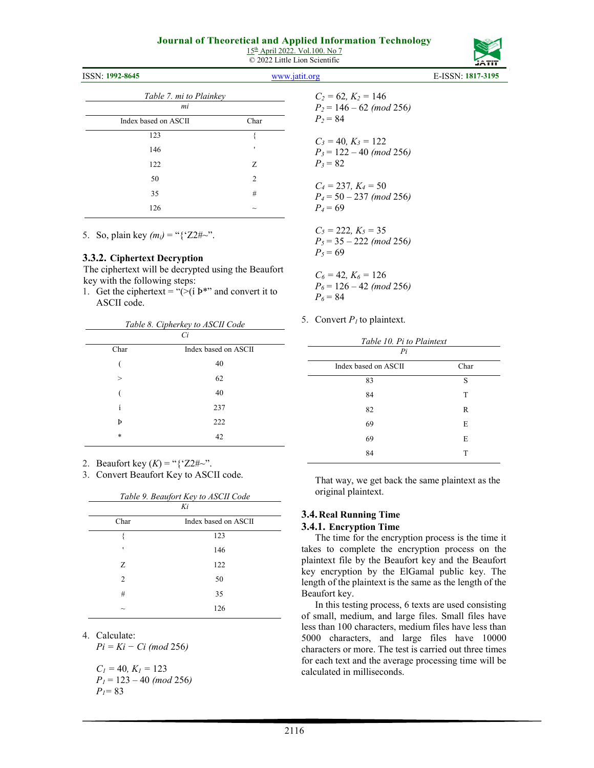15th April 2022. Vol.100. No 7 © 2022 Little Lion Scientific

| ISSN: 1992-8645               |                           | www.jatit.org                                         | E-ISSN: 1817-3195 |
|-------------------------------|---------------------------|-------------------------------------------------------|-------------------|
| Table 7. mi to Plainkey<br>mi |                           | $C_2 = 62, K_2 = 146$<br>$P_2 = 146 - 62 \ (mod 256)$ |                   |
| Index based on ASCII          | Char                      | $P_2 = 84$                                            |                   |
| 123                           |                           | $C_3 = 40, K_3 = 122$                                 |                   |
| 146                           |                           | $P_3 = 122 - 40 \ (mod 256)$                          |                   |
| 122                           | Z                         | $P_3 = 82$                                            |                   |
| 50                            | 2                         | $C_4 = 237, K_4 = 50$                                 |                   |
| 35                            | #                         | $P_4 = 50 - 237 \pmod{256}$                           |                   |
| 126                           | $\widetilde{\phantom{m}}$ | $P_4 = 69$                                            |                   |

5. So, plain key  $(m_i) =$  "{'Z2#~".

#### **3.3.2. Ciphertext Decryption**

The ciphertext will be decrypted using the Beaufort key with the following steps:

1. Get the ciphertext = "( $>(i)$   $\triangleright$ " and convert it to ASCII code.

| Table 8. Cipherkey to ASCII Code<br>Ci |                      |  |  |  |  |  |
|----------------------------------------|----------------------|--|--|--|--|--|
| Char                                   | Index based on ASCII |  |  |  |  |  |
|                                        | 40                   |  |  |  |  |  |
| $\geq$                                 | 62                   |  |  |  |  |  |
|                                        | 40                   |  |  |  |  |  |
| í                                      | 237                  |  |  |  |  |  |
| Þ                                      | 222                  |  |  |  |  |  |
| $\ast$                                 | 42                   |  |  |  |  |  |
|                                        |                      |  |  |  |  |  |

2. Beaufort key  $(K) = "{'Z2\#~}~$ 

3. Convert Beaufort Key to ASCII code.

| Table 9. Beaufort Key to ASCII Code<br>Ki |                      |  |  |  |  |
|-------------------------------------------|----------------------|--|--|--|--|
| Char                                      | Index based on ASCII |  |  |  |  |
|                                           | 123                  |  |  |  |  |
| ٠                                         | 146                  |  |  |  |  |
| Z                                         | 122                  |  |  |  |  |
| 2                                         | 50                   |  |  |  |  |
| #                                         | 35                   |  |  |  |  |
|                                           | 126                  |  |  |  |  |

4. Calculate:

*Pi = Ki − Ci (mod* 256*)* 

$$
C1 = 40, K1 = 123P1 = 123 - 40 (mod 256)P1 = 83
$$

| $C_2 = 62, K_2 = 146$<br>$P_2 = 146 - 62 \ (mod\ 256)$<br>$P_2 = 84$ |
|----------------------------------------------------------------------|
| $C_3 = 40, K_3 = 122$<br>$P_3 = 122 - 40 \ (mod\ 256)$<br>$P_3 = 82$ |
| $C_4 = 237, K_4 = 50$<br>$P_4 = 50 - 237 \pmod{256}$<br>$P_4 = 69$   |
| $C_5 = 222, K_5 = 35$<br>$P_5 = 35 - 222 \pmod{256}$<br>$P_5 = 69$   |

*C6 =* 42*, K6 =* 126 *P6* = 126 – 42 *(mod* 256*)*   $P_6 = 84$ 

5. Convert *P1* to plaintext.

| Table 10. Pi to Plaintext  |      |  |  |  |  |  |
|----------------------------|------|--|--|--|--|--|
| Pi<br>Index based on ASCII | Char |  |  |  |  |  |
| 83                         | S    |  |  |  |  |  |
| 84                         | T    |  |  |  |  |  |
| 82                         | R    |  |  |  |  |  |
| 69                         | E    |  |  |  |  |  |
| 69                         | E    |  |  |  |  |  |
| 84                         | T    |  |  |  |  |  |

That way, we get back the same plaintext as the original plaintext.

# **3.4. Real Running Time**

#### **3.4.1. Encryption Time**

The time for the encryption process is the time it takes to complete the encryption process on the plaintext file by the Beaufort key and the Beaufort key encryption by the ElGamal public key. The length of the plaintext is the same as the length of the Beaufort key.

In this testing process, 6 texts are used consisting of small, medium, and large files. Small files have less than 100 characters, medium files have less than 5000 characters, and large files have 10000 characters or more. The test is carried out three times for each text and the average processing time will be calculated in milliseconds.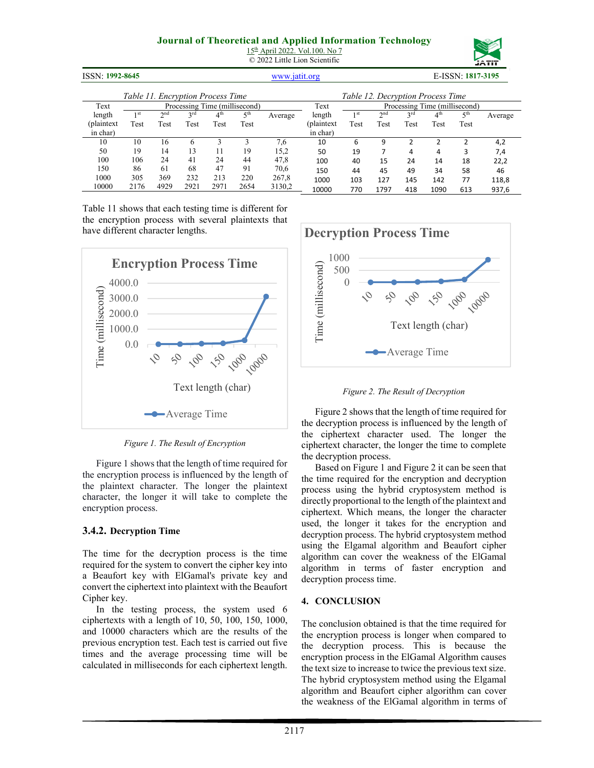15th April 2022. Vol.100. No 7 © 2022 Little Lion Scientific



| ISSN: 1992-8645<br>www.jatit.org  |                 |                 |      |                 |                               | E-ISSN: 1817-3195 |                                   |                               |                 |      |                 |                 |         |  |
|-----------------------------------|-----------------|-----------------|------|-----------------|-------------------------------|-------------------|-----------------------------------|-------------------------------|-----------------|------|-----------------|-----------------|---------|--|
| Table 11. Encryption Process Time |                 |                 |      |                 |                               |                   | Table 12. Decryption Process Time |                               |                 |      |                 |                 |         |  |
| Text                              |                 |                 |      |                 | Processing Time (millisecond) |                   | Text                              | Processing Time (millisecond) |                 |      |                 |                 |         |  |
| length                            | 1 <sub>st</sub> | 2 <sub>nd</sub> | 2rd  | 4 <sup>th</sup> | 5 <sup>th</sup>               | Average           | length                            | 1 <sub>st</sub>               | 2 <sub>nd</sub> | 2rd  | 4 <sup>th</sup> | 5 <sup>th</sup> | Average |  |
| (plaintext                        | Test            | Test            | Test | Test            | Test                          |                   | (plaintext                        | Test                          | Test            | Test | Test            | Test            |         |  |
| in char)                          |                 |                 |      |                 |                               |                   | in char)                          |                               |                 |      |                 |                 |         |  |
| 10                                | 10              | 16              | 6    |                 |                               | 7,6               | 10                                | 6                             | 9               |      |                 |                 | 4,2     |  |
| 50                                | 19              | 14              | 13   | 11              | 19                            | 15,2              | 50                                | 19                            |                 | 4    | 4               | 3               | 7,4     |  |
| 100                               | 106             | 24              | 41   | 24              | 44                            | 47,8              | 100                               | 40                            | 15              | 24   | 14              | 18              | 22,2    |  |
| 150                               | 86              | 61              | 68   | 47              | 91                            | 70,6              | 150                               | 44                            | 45              | 49   | 34              | 58              | 46      |  |
| 1000                              | 305             | 369             | 232  | 213             | 220                           | 267,8             | 1000                              | 103                           | 127             | 145  | 142             | 77              | 118,8   |  |
| 10000                             | 2176            | 4929            | 2921 | 2971            | 2654                          | 3130,2            | 10000                             | 770                           | 1797            | 418  | 1090            | 613             | 937,6   |  |

Table 11 shows that each testing time is different for the encryption process with several plaintexts that have different character lengths.



*Figure 1. The Result of Encryption* 

Figure 1 shows that the length of time required for the encryption process is influenced by the length of the plaintext character. The longer the plaintext character, the longer it will take to complete the encryption process.

#### **3.4.2. Decryption Time**

The time for the decryption process is the time required for the system to convert the cipher key into a Beaufort key with ElGamal's private key and convert the ciphertext into plaintext with the Beaufort Cipher key.

In the testing process, the system used 6 ciphertexts with a length of 10, 50, 100, 150, 1000, and 10000 characters which are the results of the previous encryption test. Each test is carried out five times and the average processing time will be calculated in milliseconds for each ciphertext length.



*Figure 2. The Result of Decryption* 

Figure 2 shows that the length of time required for the decryption process is influenced by the length of the ciphertext character used. The longer the ciphertext character, the longer the time to complete the decryption process.

Based on Figure 1 and Figure 2 it can be seen that the time required for the encryption and decryption process using the hybrid cryptosystem method is directly proportional to the length of the plaintext and ciphertext. Which means, the longer the character used, the longer it takes for the encryption and decryption process. The hybrid cryptosystem method using the Elgamal algorithm and Beaufort cipher algorithm can cover the weakness of the ElGamal algorithm in terms of faster encryption and decryption process time.

#### **4. CONCLUSION**

The conclusion obtained is that the time required for the encryption process is longer when compared to the decryption process. This is because the encryption process in the ElGamal Algorithm causes the text size to increase to twice the previous text size. The hybrid cryptosystem method using the Elgamal algorithm and Beaufort cipher algorithm can cover the weakness of the ElGamal algorithm in terms of